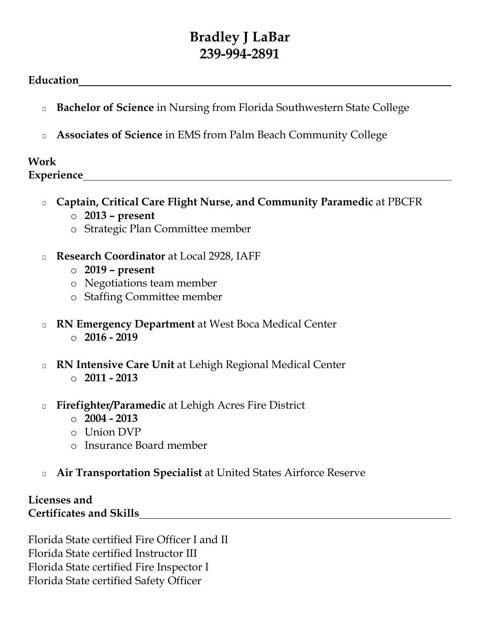## **Bradley J LaBar 239-994-2891**

## **Education**

- □ **Bachelor of Science** in Nursing from Florida Southwestern State College
- Associates of Science in EMS from Palm Beach Community College

## **Work Experience**

□ **Captain, Critical Care Flight Nurse, and Community Paramedic** at PBCFR o **2013 – present**

- o Strategic Plan Committee member
- □ **Research Coordinator** at Local 2928, IAFF
	- o **2019 – present**
	- o Negotiations team member
	- o Staffing Committee member
- □ **RN Emergency Department** at West Boca Medical Center o **2016 - 2019**
- □ **RN Intensive Care Unit** at Lehigh Regional Medical Center o **2011 - 2013**
- **Firefighter/Paramedic** at Lehigh Acres Fire District
	- o **2004 - 2013**
	- o Union DVP
	- o Insurance Board member
- □ **Air Transportation Specialist** at United States Airforce Reserve

## **Licenses and Certificates and Skills**

Florida State certified Fire Officer I and II Florida State certified Instructor III Florida State certified Fire Inspector I Florida State certified Safety Officer